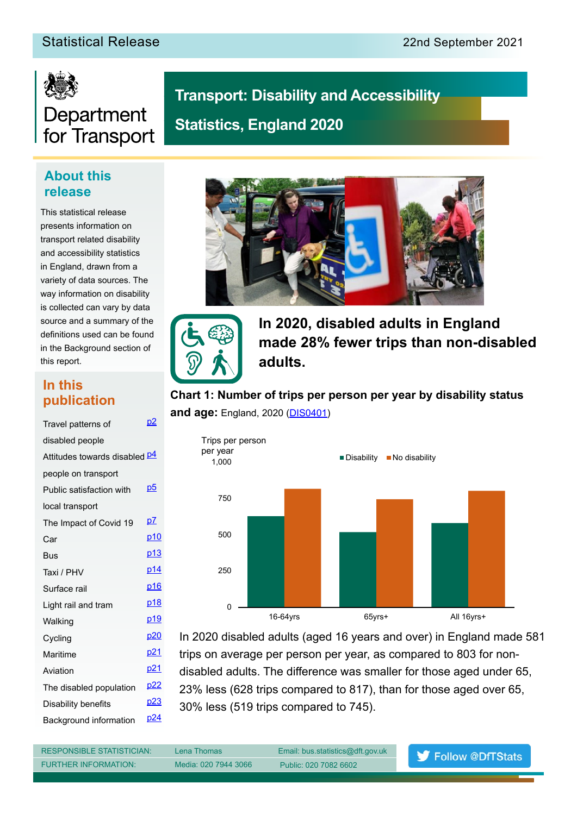## Statistical Release 2021 22nd September 2021



## Department for Transport

## **Transport: Disability and Accessibility Statistics, England 2020**

## **About this release**

This statistical release presents information on transport related disability and accessibility statistics in England, drawn from a variety of data sources. The way information on disability is collected can vary by data source and a summary of the definitions used can be found in the Background section of this report.

## **In this publication**

| Travel patterns of                   | <u>p2</u>       |
|--------------------------------------|-----------------|
| disabled people                      |                 |
| Attitudes towards disabled <b>p4</b> |                 |
| people on transport                  |                 |
| Public satisfaction with             | <u>p5</u>       |
| local transport                      |                 |
| The Impact of Covid 19               | p7              |
| Car                                  | p <sub>10</sub> |
| Bus                                  | p <sub>13</sub> |
| Taxi / PHV                           | p14             |
| Surface rail                         | <u>p16</u>      |
| Light rail and tram                  | <u>p18</u>      |
| Walking                              | p19             |
| Cycling                              | <u>p20</u>      |
| Maritime                             | p <sub>21</sub> |
| Aviation                             | <u>p21</u>      |
| The disabled population              | <u>p22</u>      |
| Disability benefits                  | p23             |
| Background information               | p24             |
|                                      |                 |





**In 2020, disabled adults in England made 28% fewer trips than non-disabled adults.**

**Chart 1: Number of trips per person per year by disability status and age:** England, 2020 (**DIS0401**)



In 2020 disabled adults (aged 16 years and over) in England made 581 trips on average per person per year, as compared to 803 for nondisabled adults. The diference was smaller for those aged under 65, 23% less (628 trips compared to 817), than for those aged over 65, 30% less (519 trips compared to 745).

RESPONSIBLE STATISTICIAN: Lena Thomas Email: bus.statistics@dft.gov.uk FURTHER INFORMATION: Media: 020 7944 3066 Public: 020 7082 6602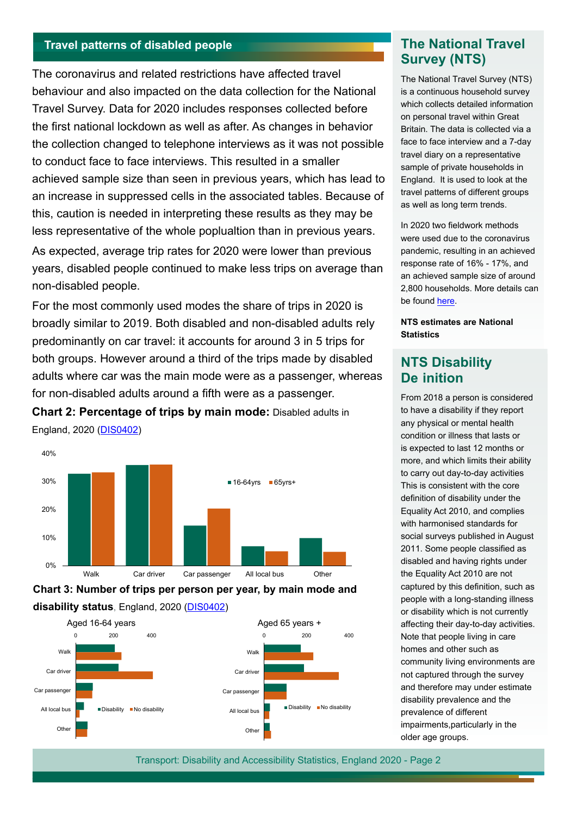## <span id="page-1-0"></span>**Travel patterns of disabled people The National Travel**

The coronavirus and related restrictions have afected travel behaviour and also impacted on the data collection for the National Travel Survey. Data for 2020 includes responses collected before the first national lockdown as well as after. As changes in behavior the collection changed to telephone interviews as it was not possible to conduct face to face interviews. This resulted in a smaller achieved sample size than seen in previous years, which has lead to an increase in suppressed cells in the associated tables. Because of this, caution is needed in interpreting these results as they may be less representative of the whole poplualtion than in previous years.

As expected, average trip rates for 2020 were lower than previous years, disabled people continued to make less trips on average than non-disabled people.

For the most commonly used modes the share of trips in 2020 is broadly similar to 2019. Both disabled and non-disabled adults rely predominantly on car travel: it accounts for around 3 in 5 trips for both groups. However around a third of the trips made by disabled adults where car was the main mode were as a passenger, whereas for non-disabled adults around a ffth were as a passenger.

**Chart 2: Percentage of trips by main mode:** Disabled adults in England, 2020 ([DIS040](https://www.gov.uk/government/statistical-data-sets/transport-disability-and-accessibility-statistics)2)



**Chart 3: Number of trips per person per year, by main mode and disability status**, England, 2020 [\(DIS0402](https://www.gov.uk/government/statistical-data-sets/transport-disability-and-accessibility-statistics))



# **Survey (NTS)**

The National Travel Survey (NTS) is a continuous household survey which collects detailed information on personal travel within Great Britain. The data is collected via a face to face interview and a 7-day travel diary on a representative sample of private households in England. It is used to look at the travel patterns of different groups as well as long term trends.

In 2020 two fieldwork methods were used due to the coronavirus pandemic, resulting in an achieved response rate of 16% - 17%, and an achieved sample size of around 2,800 households. More details can be found [here](https://www.gov.uk/government/collections/national-travel-survey-statistics).

**NTS estimates are National Statistics**

### **NTS Disability De inition**

From 2018 a person is considered to have a disability if they report any physical or mental health condition or illness that lasts or is expected to last 12 months or more, and which limits their ability to carry out day-to-day activities This is consistent with the core definition of disability under the Equality Act 2010, and complies with harmonised standards for social surveys published in August 2011. Some people classified as disabled and having rights under the Equality Act 2010 are not captured by this definition, such as people with a long-standing illness or disability which is not currently affecting their day-to-day activities. Note that people living in care homes and other such as community living environments are not captured through the survey and therefore may under estimate disability prevalence and the prevalence of different impairments,particularly in the older age groups.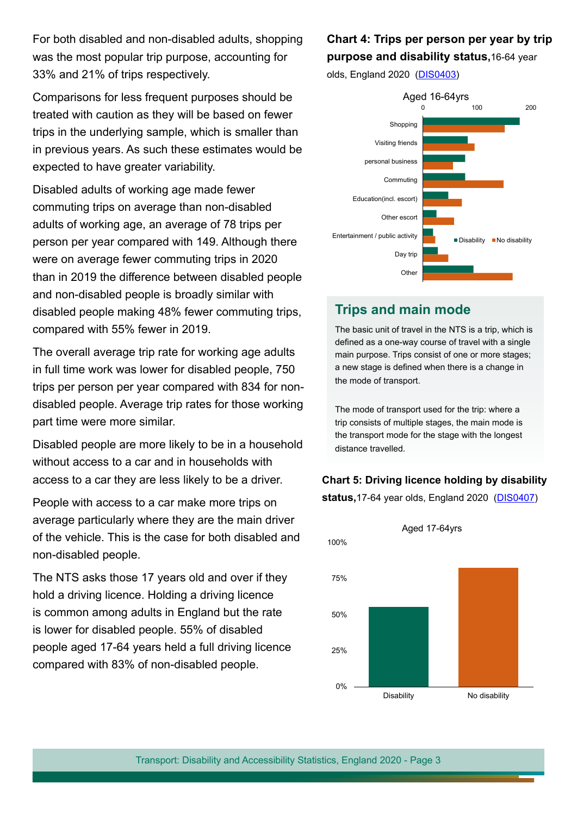For both disabled and non-disabled adults, shopping was the most popular trip purpose, accounting for 33% and 21% of trips respectively.

Comparisons for less frequent purposes should be treated with caution as they will be based on fewer trips in the underlying sample, which is smaller than in previous years. As such these estimates would be expected to have greater variability.

Disabled adults of working age made fewer commuting trips on average than non-disabled adults of working age, an average of 78 trips per person per year compared with 149. Although there were on average fewer commuting trips in 2020 than in 2019 the diference between disabled people and non-disabled people is broadly similar with disabled people making 48% fewer commuting trips, compared with 55% fewer in 2019.

The overall average trip rate for working age adults in full time work was lower for disabled people, 750 trips per person per year compared with 834 for nondisabled people. Average trip rates for those working part time were more similar.

Disabled people are more likely to be in a household without access to a car and in households with access to a car they are less likely to be a driver.

People with access to a car make more trips on average particularly where they are the main driver of the vehicle. This is the case for both disabled and non-disabled people.

The NTS asks those 17 years old and over if they hold a driving licence. Holding a driving licence is common among adults in England but the rate is lower for disabled people. 55% of disabled people aged 17-64 years held a full driving licence compared with 83% of non-disabled people.

## **Chart 4: Trips per person per year by trip purpose and disability status,**16-64 year

olds, England 2020 ([DIS040](https://www.gov.uk/government/statistical-data-sets/transport-disability-and-accessibility-statistics)3)



## **Trips and main mode**

The basic unit of travel in the NTS is a trip, which is defned as a one-way course of travel with a single main purpose. Trips consist of one or more stages; a new stage is defned when there is a change in the mode of transport.

The mode of transport used for the trip: where a trip consists of multiple stages, the main mode is the transport mode for the stage with the longest distance travelled.

#### **Chart 5: Driving licence holding by disability**

**status,**17-64 year olds, England 2020 ([DIS040](https://www.gov.uk/government/statistical-data-sets/transport-disability-and-accessibility-statistics)7)

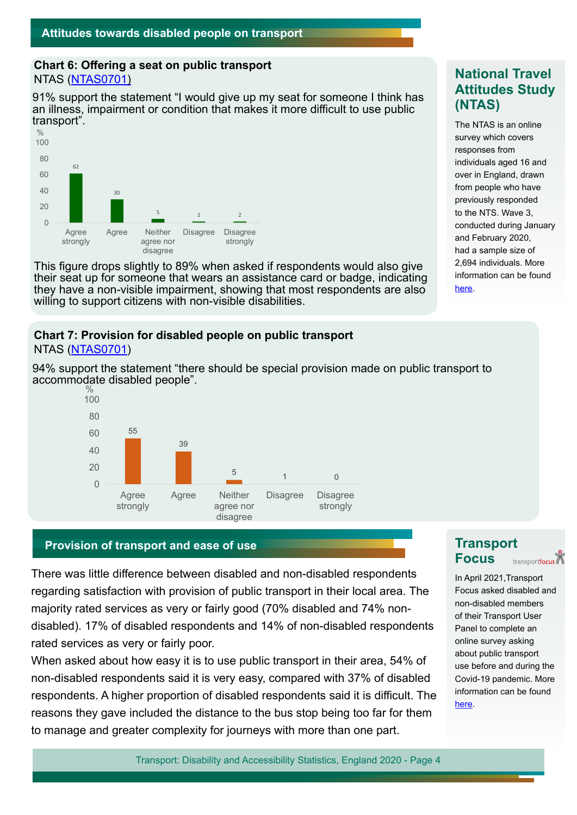#### <span id="page-3-0"></span>**Chart 6: Ofering a seat on public transport** NTAS ([NTAS0701](https://www.gov.uk/government/statistical-data-sets/national-travel-attitudes-study-ntas))

91% support the statement "I would give up my seat for someone I think has an illness, impairment or condition that makes it more difficult to use public transport".



This fgure drops slightly to 89% when asked if respondents would also give their seat up for someone that wears an assistance card or badge, indicating they have a non-visible impairment, showing that most respondents are also willing to support citizens with non-visible disabilities.

#### **Chart 7: Provision for disabled people on public transport** NTAS ([NTAS0701](https://www.gov.uk/government/statistical-data-sets/national-travel-attitudes-study-ntas))

94% support the statement "there should be special provision made on public transport to accommodate disabled people".



## **Provision of transport and ease of use <b>Transport Transport**

There was little diference between disabled and non-disabled respondents regarding satisfaction with provision of public transport in their local area. The majority rated services as very or fairly good (70% disabled and 74% nondisabled). 17% of disabled respondents and 14% of non-disabled respondents rated services as very or fairly poor.

When asked about how easy it is to use public transport in their area, 54% of non-disabled respondents said it is very easy, compared with 37% of disabled respondents. A higher proportion of disabled respondents said it is difficult. The reasons they gave included the distance to the bus stop being too far for them to manage and greater complexity for journeys with more than one part.

## **National Travel Attitudes Study (NTAS)**

The NTAS is an online survey which covers responses from individuals aged 16 and over in England, drawn from people who have previously responded to the NTS. Wave 3, conducted during January and February 2020, had a sample size of 2,694 individuals. More information can be found [here.](https://www.gov.uk/government/statistics/national-travel-attitudes-study-wave-3)

# **Focus**

transportfocus

In April 2021,Transport Focus asked disabled and non-disabled members of their Transport User Panel to complete an online survey asking about public transport use before and during the Covid-19 pandemic. More information can be found [here.](https://www.transportfocus.org.uk/)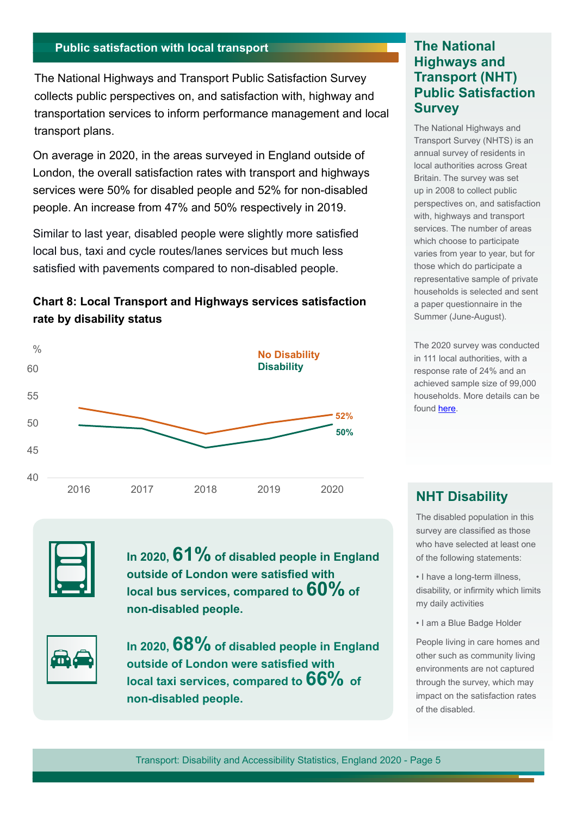## <span id="page-4-0"></span>**Public satisfaction with local transport The National**

The National Highways and Transport Public Satisfaction Survey collects public perspectives on, and satisfaction with, highway and transportation services to inform performance management and local transport plans.

On average in 2020, in the areas surveyed in England outside of London, the overall satisfaction rates with transport and highways services were 50% for disabled people and 52% for non-disabled people. An increase from 47% and 50% respectively in 2019.

Similar to last year, disabled people were slightly more satisfed local bus, taxi and cycle routes/lanes services but much less satisfed with pavements compared to non-disabled people.





**In 2020, 61% of disabled people in England outside of London were satisfed with local bus services, compared to 60% of non-disabled people.**



In 2020, 68% of disabled people in England **outside of London were satisfed with local taxi services, compared to 66% of non-disabled people.**

## **Highways and Transport (NHT) Public Satisfaction Survey**

The National Highways and Transport Survey (NHTS) is an annual survey of residents in local authorities across Great Britain. The survey was set up in 2008 to collect public perspectives on, and satisfaction with, highways and transport services. The number of areas which choose to participate varies from year to year, but for those which do participate a representative sample of private households is selected and sent a paper questionnaire in the Summer (June-August).

The 2020 survey was conducted in 111 local authorities, with a response rate of 24% and an achieved sample size of 99,000 households. More details can be found [here](https://nhtnetwork.org/).

### **NHT Disability**

The disabled population in this survey are classifed as those who have selected at least one of the following statements:

• I have a long-term illness, disability, or infrmity which limits my daily activities

• I am a Blue Badge Holder

People living in care homes and other such as community living environments are not captured through the survey, which may impact on the satisfaction rates of the disabled.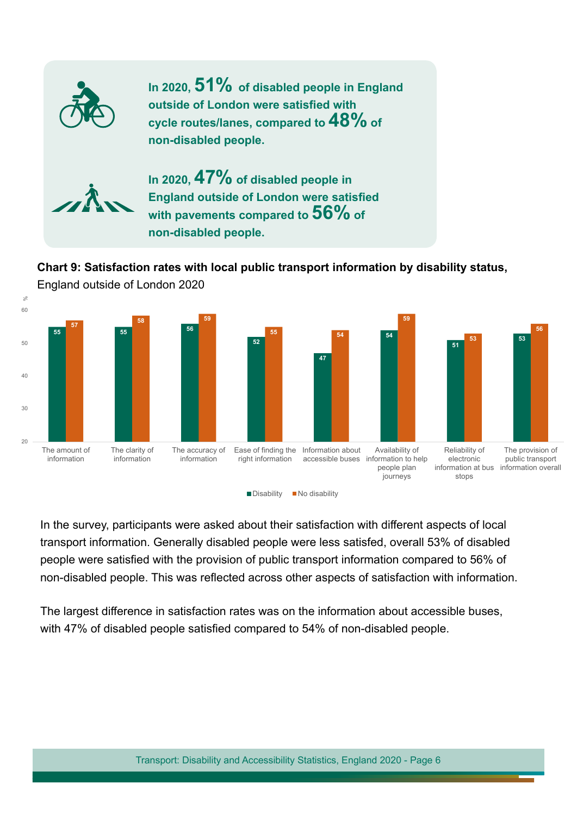

## **Chart 9: Satisfaction rates with local public transport information by disability status,**



England outside of London 2020

In the survey, participants were asked about their satisfaction with diferent aspects of local transport information. Generally disabled people were less satisfed, overall 53% of disabled people were satisfed with the provision of public transport information compared to 56% of non-disabled people. This was refected across other aspects of satisfaction with information.

The largest diference in satisfaction rates was on the information about accessible buses, with 47% of disabled people satisfed compared to 54% of non-disabled people.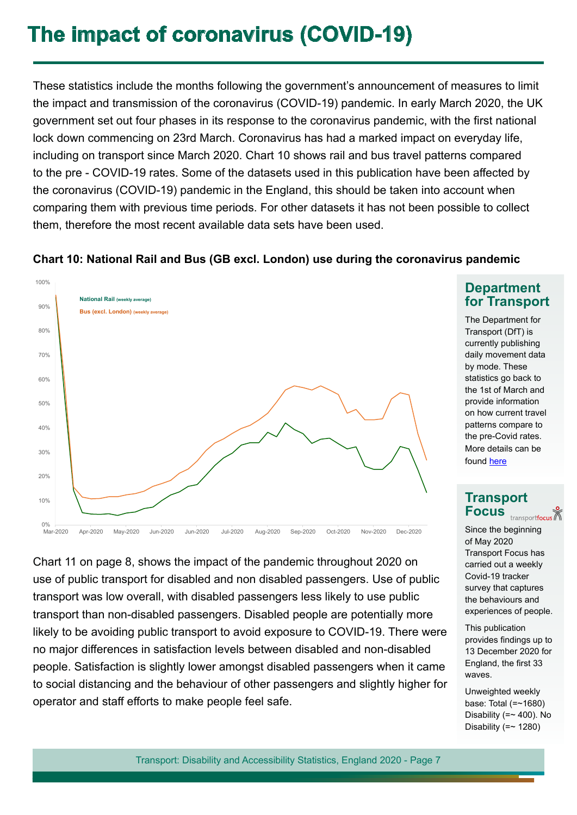## <span id="page-6-0"></span>**The impact of coronavirus (COVID-19)**

These statistics include the months following the government's announcement of measures to limit the impact and transmission of the coronavirus (COVID-19) pandemic. In early March 2020, the UK government set out four phases in its response to the coronavirus pandemic, with the first national lock down commencing on 23rd March. Coronavirus has had a marked impact on everyday life, including on transport since March 2020. Chart 10 shows rail and bus travel patterns compared to the pre - COVID-19 rates. Some of the datasets used in this publication have been afected by the coronavirus (COVID-19) pandemic in the England, this should be taken into account when comparing them with previous time periods. For other datasets it has not been possible to collect them, therefore the most recent available data sets have been used.

### **Chart 10: National Rail and Bus (GB excl. London) use during the coronavirus pandemic**



Chart 11 on page 8, shows the impact of the pandemic throughout 2020 on use of public transport for disabled and non disabled passengers. Use of public transport was low overall, with disabled passengers less likely to use public transport than non-disabled passengers. Disabled people are potentially more likely to be avoiding public transport to avoid exposure to COVID-19. There were no major diferences in satisfaction levels between disabled and non-disabled people. Satisfaction is slightly lower amongst disabled passengers when it came to social distancing and the behaviour of other passengers and slightly higher for operator and staff efforts to make people feel safe.

### **Department for Transport**

The Department for Transport (DfT) is currently publishing daily movement data by mode. These statistics go back to the 1st of March and provide information on how current travel patterns compare to the pre-Covid rates. More details can be found [here](https://www.gov.uk/government/statistics/transport-use-during-the-coronavirus-covid-19-pandemic)

## **Transport Focus**

Since the beginning of May 2020 Transport Focus has carried out a weekly Covid-19 tracker survey that captures the behaviours and experiences of people.

This publication provides fndings up to 13 December 2020 for England, the frst 33 waves.

Unweighted weekly base: Total (=~1680) Disability ( $=$  400). No Disability  $(== 1280)$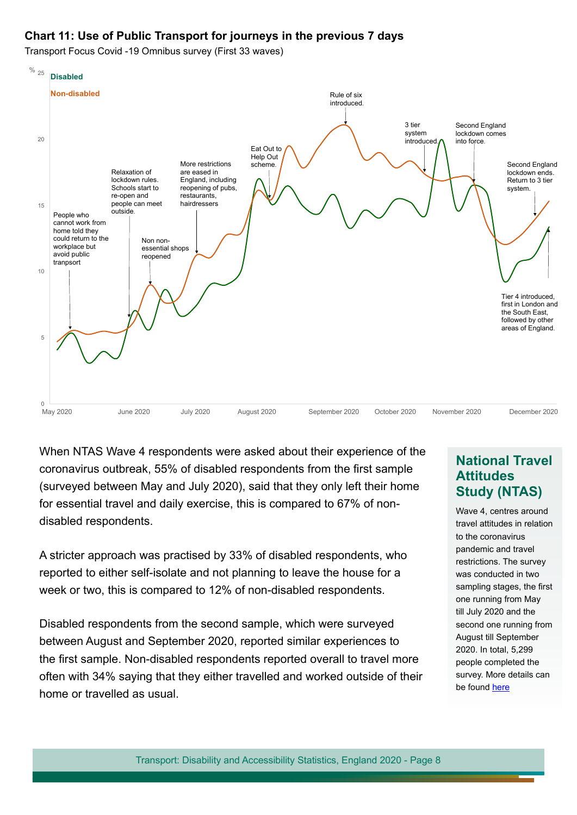### **Chart 11: Use of Public Transport for journeys in the previous 7 days**

Transport Focus Covid -19 Omnibus survey (First 33 waves)



When NTAS Wave 4 respondents were asked about their experience of the coronavirus outbreak, 55% of disabled respondents from the frst sample (surveyed between May and July 2020), said that they only left their home for essential travel and daily exercise, this is compared to 67% of nondisabled respondents.

A stricter approach was practised by 33% of disabled respondents, who reported to either self-isolate and not planning to leave the house for a week or two, this is compared to 12% of non-disabled respondents.

Disabled respondents from the second sample, which were surveyed between August and September 2020, reported similar experiences to the first sample. Non-disabled respondents reported overall to travel more often with 34% saying that they either travelled and worked outside of their home or travelled as usual.

### **National Travel Attitudes Study (NTAS)**

Wave 4, centres around travel attitudes in relation to the coronavirus pandemic and travel restrictions. The survey was conducted in two sampling stages, the first one running from May till July 2020 and the second one running from August till September 2020. In total, 5,299 people completed the survey. More details can be found [here](https://www.gov.uk/government/statistics/national-travel-attitudes-study-wave-4-final)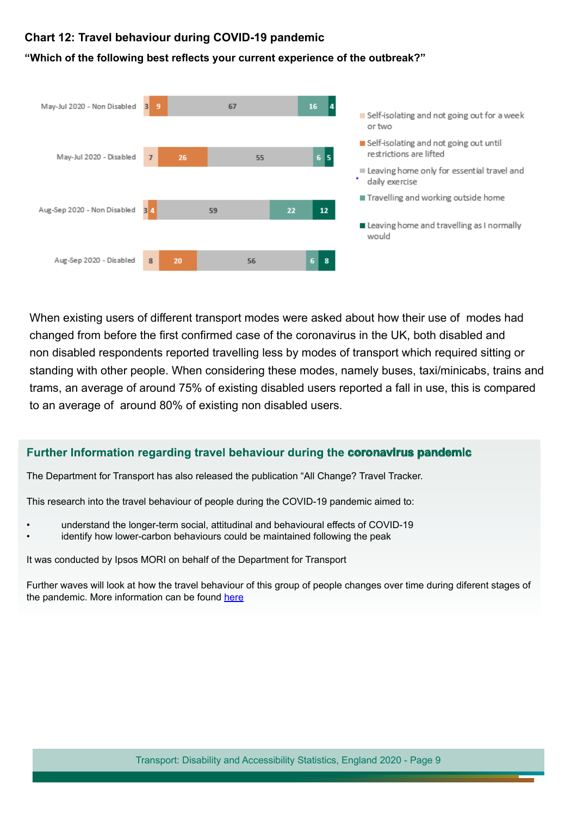#### **Chart 12: Travel behaviour during COVID-19 pandemic**



#### **"Which of the following best refects your current experience of the outbreak?"**

When existing users of diferent transport modes were asked about how their use of modes had changed from before the frst confrmed case of the coronavirus in the UK, both disabled and non disabled respondents reported travelling less by modes of transport which required sitting or standing with other people. When considering these modes, namely buses, taxi/minicabs, trains and trams, an average of around 75% of existing disabled users reported a fall in use, this is compared to an average of around 80% of existing non disabled users.

#### **Further Information regarding travel behaviour during the coronavirus pandemic**

The Department for Transport has also released the publication "All Change? Travel Tracker.

This research into the travel behaviour of people during the COVID-19 pandemic aimed to:

- understand the longer-term social, attitudinal and behavioural efects of COVID-19
- identify how lower-carbon behaviours could be maintained following the peak

It was conducted by Ipsos MORI on behalf of the Department for Transport

Further waves will look at how the travel behaviour of this group of people changes over time during diferent stages of the pandemic. More information can be found [here](https://www.gov.uk/government/publications/covid-19-travel-behaviour-during-the-lockdown)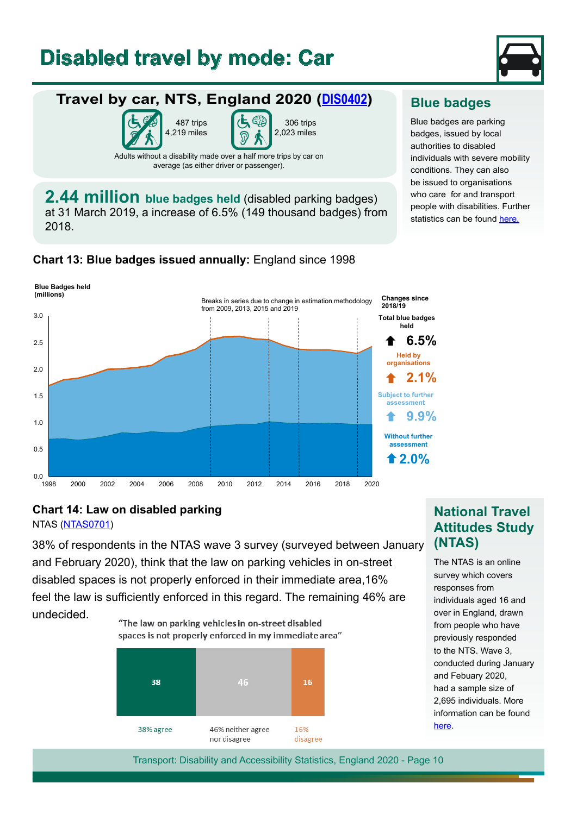## <span id="page-9-0"></span>**Disabled travel by mode: Car**

487 trips 4,219 miles



## **Travel by car, NTS, England 2020 [\(DIS0402\)](https://www.gov.uk/government/statistical-data-sets/transport-disability-and-accessibility-statistics)**

306 trips 2,023 miles

Adults without a disability made over a half more trips by car on average (as either driver or passenger).

**[2.44 million](https://www.gov.uk/government/collections/disabled-parking-badges-statistics) blue badges held** (disabled parking badges) at 31 March 2019, a increase of 6.5% (149 thousand badges) from 2018.

**Chart 13: Blue badges issued annually:** England since 1998



## **Blue badges**

Blue badges are parking badges, issued by local authorities to disabled individuals with severe mobility conditions. They can also be issued to organisations who care for and transport people with disabilities. Further statistics can be found [here](https://www.gov.uk/government/collections/disabled-parking-badges-statistics).

## **Chart 14: Law on disabled parking**

NTAS ([NTAS0701\)](https://www.gov.uk/government/statistical-data-sets/national-travel-attitudes-study-ntas)

38% of respondents in the NTAS wave 3 survey (surveyed between January and February 2020), think that the law on parking vehicles in on-street disabled spaces is not properly enforced in their immediate area,16% feel the law is sufficiently enforced in this regard. The remaining 46% are undecided.

"The law on parking vehicles in on-street disabled



## **National Travel Attitudes Study (NTAS)**

The NTAS is an online survey which covers responses from individuals aged 16 and over in England, drawn from people who have previously responded to the NTS. Wave 3, conducted during January and Febuary 2020, had a sample size of 2,695 individuals. More information can be found [here.](https://www.gov.uk/government/statistics/national-travel-attitudes-study-wave-3)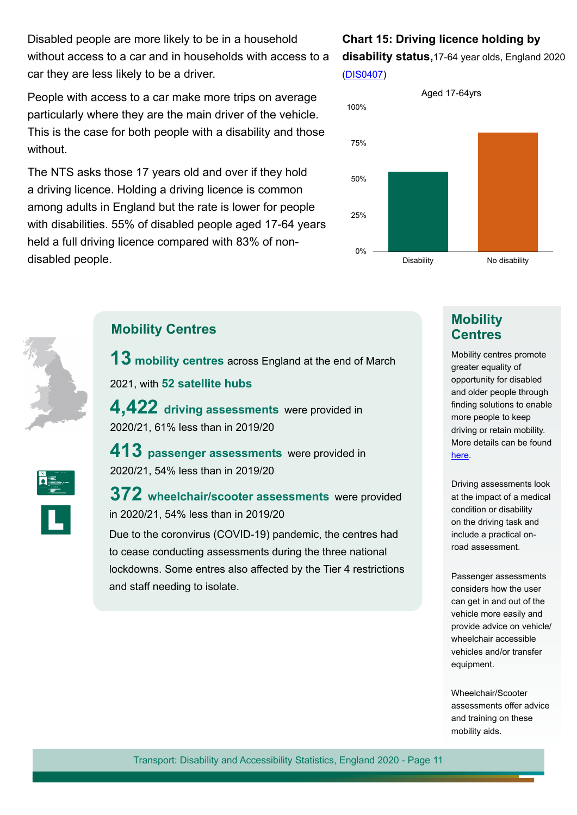Disabled people are more likely to be in a household without access to a car and in households with access to a car they are less likely to be a driver.

People with access to a car make more trips on average particularly where they are the main driver of the vehicle. This is the case for both people with a disability and those without.

The NTS asks those 17 years old and over if they hold a driving licence. Holding a driving licence is common among adults in England but the rate is lower for people with disabilities. 55% of disabled people aged 17-64 years held a full driving licence compared with 83% of nondisabled people.

## **Chart 15: Driving licence holding by disability status,**17-64 year olds, England 2020

([DIS0407](https://www.gov.uk/government/statistical-data-sets/transport-disability-and-accessibility-statistics))





## **Mobility Centres**

**13 mobility centres** across England at the end of March

2021, with **52 satellite hubs** 

**4,422 driving assessments** were provided in 2020/21, 61% less than in 2019/20

**413 passenger assessments** were provided in 2020/21, 54% less than in 2019/20

**372 wheelchair/scooter assessments** were provided in 2020/21, 54% less than in 2019/20

Due to the coronvirus (COVID-19) pandemic, the centres had to cease conducting assessments during the three national lockdowns. Some entres also afected by the Tier 4 restrictions and staff needing to isolate.

## **Mobility Centres**

Mobility centres promote greater equality of opportunity for disabled and older people through finding solutions to enable more people to keep driving or retain mobility. More details can be found [here.](https://www.drivingmobility.org.uk/)

Driving assessments look at the impact of a medical condition or disability on the driving task and include a practical onroad assessment.

Passenger assessments considers how the user can get in and out of the vehicle more easily and provide advice on vehicle/ wheelchair accessible vehicles and/or transfer equipment.

Wheelchair/Scooter assessments offer advice and training on these mobility aids.

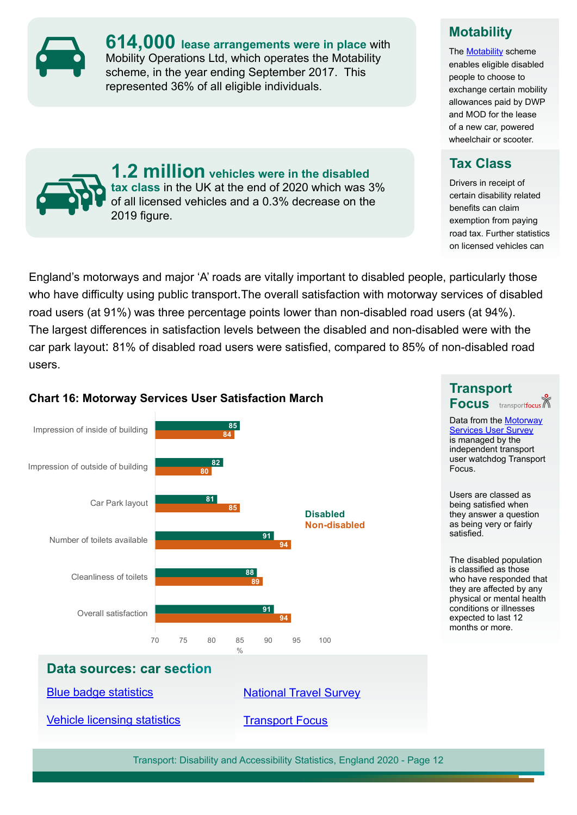**[614,000](https://www.nao.org.uk/report/the-motability-scheme/) lease arrangements were in place** with Mobility Operations Ltd, which operates the Motability scheme, in the year ending September 2017. This represented 36% of all eligible individuals.

**1.2 million vehicles were in the disabled tax class** in the UK at the end of 2020 which was 3% of all licensed vehicles and a 0.3% decrease on the



The [Motability](https://www.motability.co.uk/) scheme enables eligible disabled people to choose to exchange certain mobility allowances paid by DWP and MOD for the lease of a new car, powered wheelchair or scooter.

## **Tax Class**

**Transport** 

Focus.

satisfed.

**Focus** transportfocus Data from the [Motorway](https://www.transportfocus.org.uk/insight/motorway-services-user-survey/) **[Services User Survey](https://www.transportfocus.org.uk/insight/motorway-services-user-survey/)** is managed by the independent transport user watchdog Transport

Users are classed as being satisfed when they answer a question as being very or fairly

The disabled population is classifed as those who have responded that they are afected by any physical or mental health conditions or illnesses expected to last 12 months or more.

Drivers in receipt of certain disability related benefits can claim exemption from paying road tax. Further statistics on licensed vehicles can

England's motorways and major 'A' roads are vitally important to disabled people, particularly those who have difficulty using public transport. The overall satisfaction with motorway services of disabled road users (at 91%) was three percentage points lower than non-disabled road users (at 94%). The largest diferences in satisfaction levels between the disabled and non-disabled were with the car park layout: 81% of disabled road users were satisfed, compared to 85% of non-disabled road users.

### **Chart 16: Motorway Services User Satisfaction March**



Transport: Disability and Accessibility Statistics, England 2020 - Page 12

2019 figure.

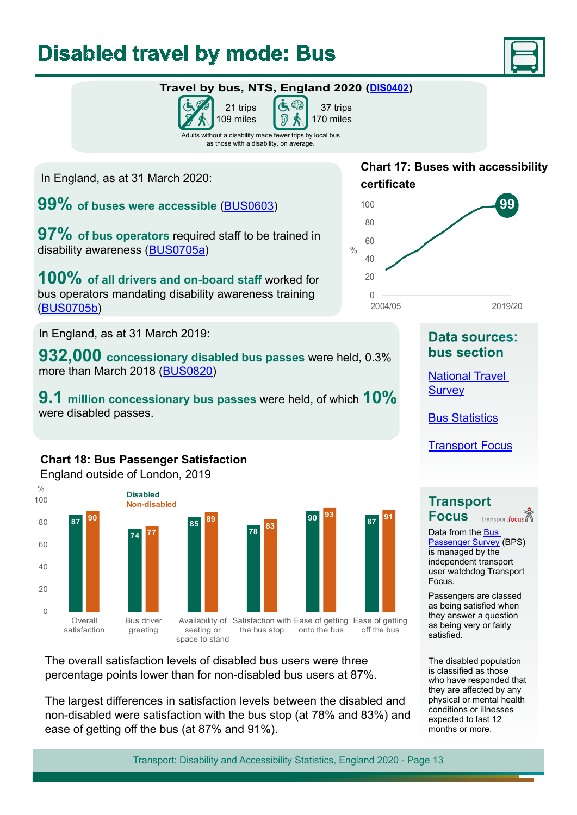## <span id="page-12-0"></span>**Disabled travel by mode: Bus**



## **Travel by bus, NTS, England 2020 ([DIS0402\)](https://www.gov.uk/government/statistical-data-sets/transport-disability-and-accessibility-statistics)**





Adults without a disability made fewer trips by local bus as those with a disability, on average.

In England, as at 31 March 2020:

**99% of buses were accessible** [\(BUS0603\)](https://www.gov.uk/government/statistical-data-sets/bus06-vehicle-stocks-technology-and-equipment)

**97%** of bus operators required staff to be trained in disability awareness ([BUS0705a\)](https://www.gov.uk/government/statistical-data-sets/bus07-employment)

**100%** of all drivers and on-board staff worked for bus operators mandating disability awareness training ([BUS0705b\)](https://www.gov.uk/government/statistical-data-sets/bus07-employment)

In England, as at 31 March 2019:

**932,000 concessionary disabled bus passes** were held, 0.3% more than March 2018 [\(BUS0820](https://www.gov.uk/government/statistical-data-sets/bus08-concessionary-travel))

**9.1 million concessionary bus passes** were held, of which **10%** were disabled passes.

### **Chart 18: Bus Passenger Satisfaction**

England outside of London, 2019



The overall satisfaction levels of disabled bus users were three percentage points lower than for non-disabled bus users at 87%.

The largest diferences in satisfaction levels between the disabled and non-disabled were satisfaction with the bus stop (at 78% and 83%) and ease of getting off the bus (at 87% and 91%).

### **Chart 17: Buses with accessibility certifcate**



## **Data sources: bus section**

[National Travel](https://www.gov.uk/government/collections/national-travel-survey-statistics)  **[Survey](https://www.gov.uk/government/collections/national-travel-survey-statistics)** 

Bus [Statistics](https://www.gov.uk/government/collections/bus-statistics)

[Transport Focus](https://www.transportfocus.org.uk/)

**Transport Focus** transportfocus

Data from the [Bus](https://www.transportfocus.org.uk/insight/bus-passenger-survey/)  [Passenger Survey](https://www.transportfocus.org.uk/insight/bus-passenger-survey/) (BPS) is managed by the independent transport user watchdog Transport Focus.

Passengers are classed as being satisfed when they answer a question as being very or fairly satisfed.

The disabled population is classifed as those who have responded that they are afected by any physical or mental health conditions or illnesses expected to last 12 months or more.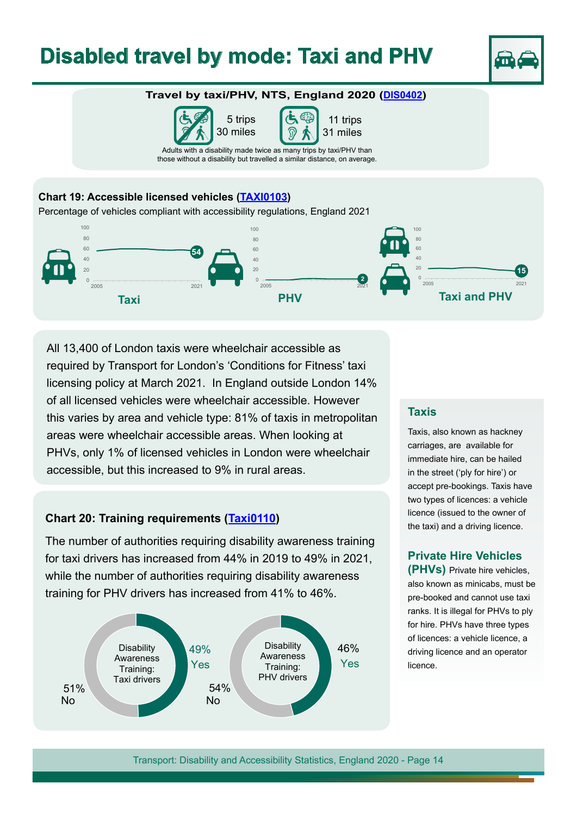## <span id="page-13-0"></span>**Disabled travel by mode: Taxi and PHV**



#### **Travel by taxi/PHV, NTS, England 2020 ([DIS0402\)](https://www.gov.uk/government/statistical-data-sets/transport-disability-and-accessibility-statistics)**

5 trips 30 miles



Adults with a disability made twice as many trips by taxi/PHV than those without a disability but travelled a similar distance, on average.

#### **Chart 19: Accessible licensed vehicles ([TAXI0103](https://www.gov.uk/government/statistical-data-sets/taxi01-taxis-private-hire-vehilces-and-their-drivers))**

Percentage of vehicles compliant with accessibility regulations, England 2021



All 13,400 of London taxis were wheelchair accessible as required by Transport for London's 'Conditions for Fitness' taxi licensing policy at March 2021. In England outside London 14% of all licensed vehicles were wheelchair accessible. However this varies by area and vehicle type: 81% of taxis in metropolitan areas were wheelchair accessible areas. When looking at PHVs, only 1% of licensed vehicles in London were wheelchair accessible, but this increased to 9% in rural areas.

#### **Chart 20: Training requirements [\(Taxi01](https://www.gov.uk/government/statistical-data-sets/taxi01-taxis-private-hire-vehilces-and-their-drivers)10)**

The number of authorities requiring disability awareness training for taxi drivers has increased from 44% in 2019 to 49% in 2021, while the number of authorities requiring disability awareness training for PHV drivers has increased from 41% to 46%.



#### **Taxis**

Taxis, also known as hackney carriages, are available for immediate hire, can be hailed in the street ('ply for hire') or accept pre-bookings. Taxis have two types of licences: a vehicle licence (issued to the owner of the taxi) and a driving licence.

#### **Private Hire Vehicles**

**(PHVs)** Private hire vehicles, also known as minicabs, must be pre-booked and cannot use taxi ranks. It is illegal for PHVs to ply for hire. PHVs have three types of licences: a vehicle licence, a driving licence and an operator licence.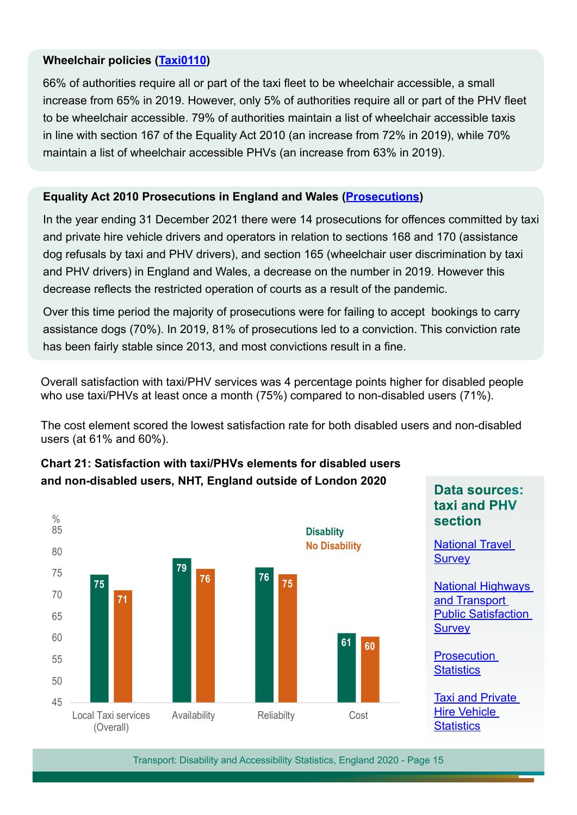#### **Wheelchair policies ([Taxi011](https://www.gov.uk/government/statistical-data-sets/taxi01-taxis-private-hire-vehilces-and-their-drivers)0)**

66% of authorities require all or part of the taxi fleet to be wheelchair accessible, a small increase from 65% in 2019. However, only 5% of authorities require all or part of the PHV fleet to be wheelchair accessible. 79% of authorities maintain a list of wheelchair accessible taxis in line with section 167 of the Equality Act 2010 (an increase from 72% in 2019), while 70% maintain a list of wheelchair accessible PHVs (an increase from 63% in 2019).

### **Equality Act 2010 Prosecutions in England and Wales ([Prosecutions\)](https://www.gov.uk/government/organisations/ministry-of-justice/about/statistics)**

In the year ending 31 December 2021 there were 14 prosecutions for ofences committed by taxi and private hire vehicle drivers and operators in relation to sections 168 and 170 (assistance dog refusals by taxi and PHV drivers), and section 165 (wheelchair user discrimination by taxi and PHV drivers) in England and Wales, a decrease on the number in 2019. However this decrease refects the restricted operation of courts as a result of the pandemic.

Over this time period the majority of prosecutions were for failing to accept bookings to carry assistance dogs (70%). In 2019, 81% of prosecutions led to a conviction. This conviction rate has been fairly stable since 2013, and most convictions result in a fine.

Overall satisfaction with taxi/PHV services was 4 percentage points higher for disabled people who use taxi/PHVs at least once a month (75%) compared to non-disabled users (71%).

The cost element scored the lowest satisfaction rate for both disabled users and non-disabled users (at 61% and 60%).



**Chart 21: Satisfaction with taxi/PHVs elements for disabled users and non-disabled users, NHT, England outside of London 2020**

**Data sources: taxi and PHV section**

[National Travel](https://www.gov.uk/government/collections/national-travel-survey-statistics)  **[Survey](https://www.gov.uk/government/collections/national-travel-survey-statistics)** 

[National Highways](https://nhtnetwork.org/)  [and Transport](https://nhtnetwork.org/)  **Public Satisfaction [Survey](https://nhtnetwork.org/)** 

**Prosecution [Statistics](https://www.gov.uk/government/organisations/ministry-of-justice/about/statistics)** 

[Taxi and Private](https://www.gov.uk/government/collections/taxi-statistics)  [Hire Vehicle](https://www.gov.uk/government/collections/taxi-statistics)  **[Statistics](https://www.gov.uk/government/collections/taxi-statistics)**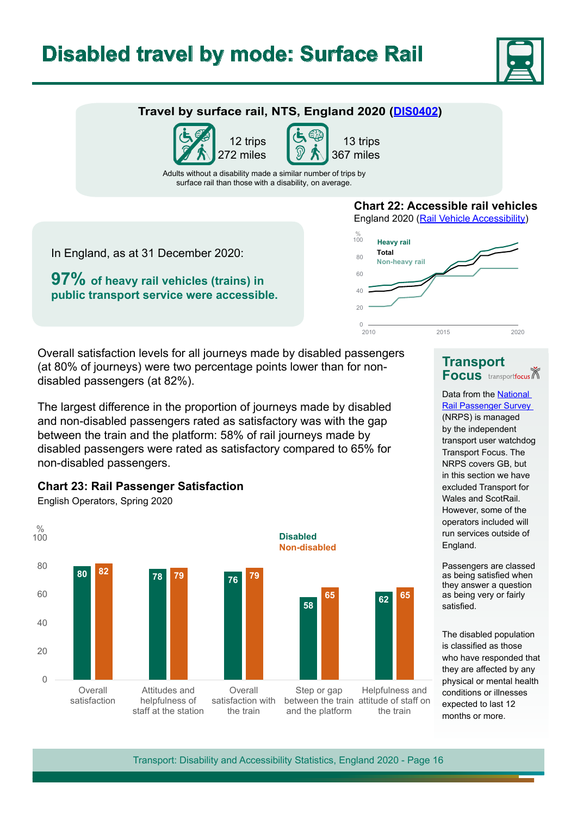## <span id="page-15-0"></span>**Disabled travel by mode: Surface Rail**



### **Travel by surface rail, NTS, England 2020 [\(DIS0402](https://www.gov.uk/government/statistical-data-sets/transport-disability-and-accessibility-statistics))**





Adults without a disability made a similar number of trips by surface rail than those with a disability, on average.

In England, as at 31 December 2020:

**97% of heavy rail vehicles (trains) in public transport service were accessible.**



England 2020 [\(Rail Vehicle Accessibility](https://www.gov.uk/government/publications/list-of-rail-vehicles-built-or-refurbished-to-modern-accessibility-standards))



Overall satisfaction levels for all journeys made by disabled passengers (at 80% of journeys) were two percentage points lower than for nondisabled passengers (at 82%).

The largest diference in the proportion of journeys made by disabled and non-disabled passengers rated as satisfactory was with the gap between the train and the platform: 58% of rail journeys made by disabled passengers were rated as satisfactory compared to 65% for non-disabled passengers.



#### **Chart 23: Rail Passenger Satisfaction**

English Operators, Spring 2020



Data from the [National](https://www.transportfocus.org.uk/insight/national-rail-passenger-survey/)  [Rail Passenger Survey](https://www.transportfocus.org.uk/insight/national-rail-passenger-survey/)  (NRPS) is managed by the independent transport user watchdog Transport Focus. The NRPS covers GB, but in this section we have excluded Transport for Wales and ScotRail. However, some of the operators included will run services outside of England.

Passengers are classed as being satisfed when they answer a question as being very or fairly satisfed.

The disabled population is classifed as those who have responded that they are afected by any physical or mental health conditions or illnesses expected to last 12 months or more.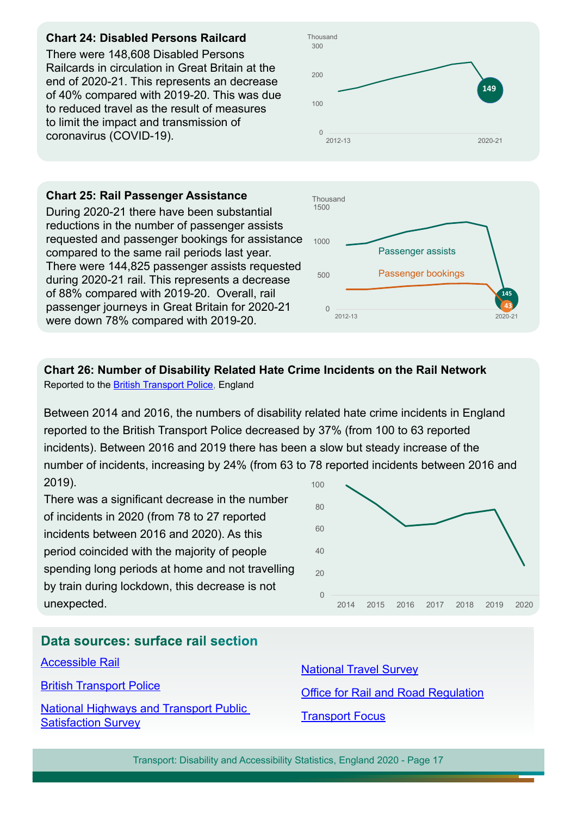#### **Chart 24: Disabled Persons Railcard**

There were 148,608 Disabled Persons Railcards in circulation in Great Britain at the end of 2020-21. This represents an decrease of 40% compared with 2019-20. This was due to reduced travel as the result of measures to limit the impact and transmission of coronavirus (COVID-19).



#### **Chart 25: Rail Passenger Assistance**  During 2020-21 there have been substantial reductions in the number of passenger assists requested and passenger bookings for assistance compared to the same rail periods last year. There were 144,825 passenger assists requested during 2020-21 rail. This represents a decrease of 88% compared with 2019-20. Overall, rail passenger journeys in Great Britain for 2020-21 were down 78% compared with 2019-20.

### **Chart 26: Number of Disability Related Hate Crime Incidents on the Rail Network**

Reported to the **British Transport Police**, England

Between 2014 and 2016, the numbers of disability related hate crime incidents in England reported to the British Transport Police decreased by 37% (from 100 to 63 reported incidents). Between 2016 and 2019 there has been a slow but steady increase of the number of incidents, increasing by 24% (from 63 to 78 reported incidents between 2016 and 2019). 100

There was a significant decrease in the number of incidents in 2020 (from 78 to 27 reported incidents between 2016 and 2020). As this period coincided with the majority of people spending long periods at home and not travelling by train during lockdown, this decrease is not unexpected.



### **Data sources: surface rail section**

[Accessible Rail](https://www.gov.uk/government/publications/list-of-rail-vehicles-built-or-refurbished-to-modern-accessibility-standards)

[British Transport Police](https://www.btp.police.uk/about_us.aspx)

[National Highways and Transport Public](https://nhtnetwork.org/)  [Satisfaction Survey](https://nhtnetwork.org/)

[National Travel Survey](https://www.gov.uk/government/collections/national-travel-survey-statistics) Office for Rail and Road Regulation [Transport Focus](https://www.transportfocus.org.uk/)

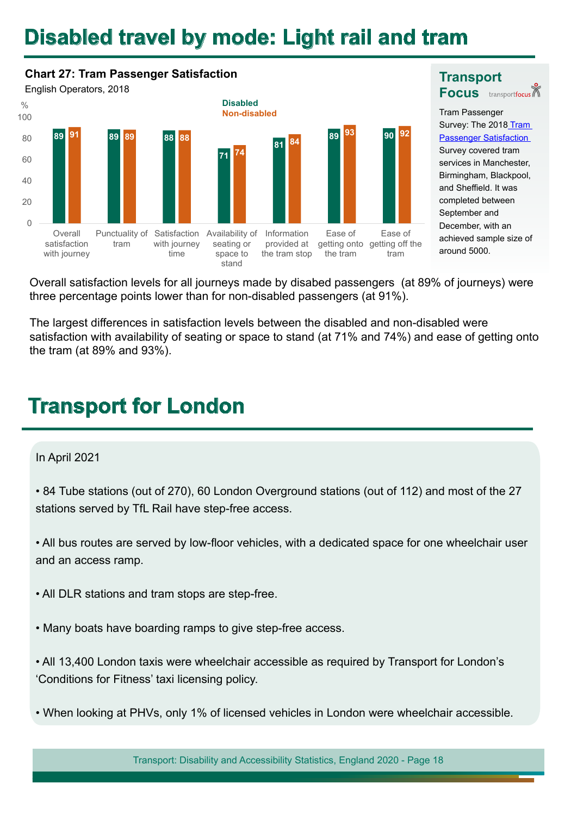## <span id="page-17-0"></span>**Disabled travel by mode: Light rail and tram**

#### **Chart 27: Tram Passenger Satisfaction** English Operators, 2018 **89 89 88 71 81 91 89 88 89 90 74 84 93 92** 0 20 40 60 80 100 **Overall** satisfaction with journey Punctuality of tram Satisfaction with journey time Availability of seating or space to stand Information provided at the tram stop Ease of getting onto getting off the the tram Ease of tram % **Disabled Non-disabled**

 $\bullet$ **Focus** Tram Passenger Survey: The 201[8 Tram](https://www.transportfocus.org.uk/publication/tram-passenger-survey-autumn-2018/)  **Passenger Satisfaction** Survey covered tram services in Manchester, Birmingham, Blackpool, and Sheffield. It was

completed between September and December, with an achieved sample size of

around 5000.

**Transport** 

Overall satisfaction levels for all journeys made by disabed passengers (at 89% of journeys) were three percentage points lower than for non-disabled passengers (at 91%).

The largest diferences in satisfaction levels between the disabled and non-disabled were satisfaction with availability of seating or space to stand (at 71% and 74%) and ease of getting onto the tram (at 89% and 93%).

## **Transport for London**

#### In April 2021

• 84 Tube stations (out of 270), 60 London Overground stations (out of 112) and most of the 27 stations served by TfL Rail have step-free access.

• All bus routes are served by low-floor vehicles, with a dedicated space for one wheelchair user and an access ramp.

• All DLR stations and tram stops are step-free.

• Many boats have boarding ramps to give step-free access.

• All 13,400 London taxis were wheelchair accessible as required by Transport for London's 'Conditions for Fitness' taxi licensing policy.

• When looking at PHVs, only 1% of licensed vehicles in London were wheelchair accessible.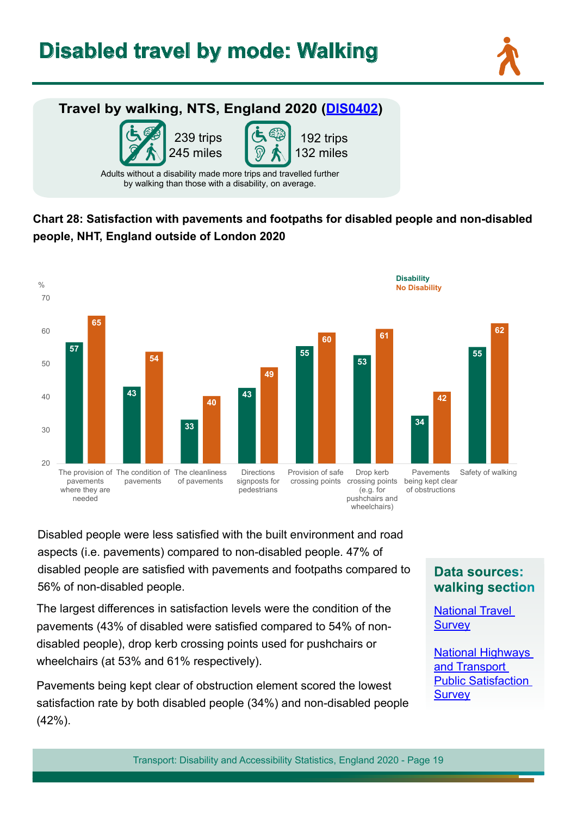## <span id="page-18-0"></span>**Disabled travel by mode: Walking**





## **Chart 28: Satisfaction with pavements and footpaths for disabled people and non-disabled people, NHT, England outside of London 2020**



Disabled people were less satisfed with the built environment and road aspects (i.e. pavements) compared to non-disabled people. 47% of disabled people are satisfed with pavements and footpaths compared to 56% of non-disabled people.

The largest diferences in satisfaction levels were the condition of the pavements (43% of disabled were satisfed compared to 54% of nondisabled people), drop kerb crossing points used for pushchairs or wheelchairs (at 53% and 61% respectively).

Pavements being kept clear of obstruction element scored the lowest satisfaction rate by both disabled people (34%) and non-disabled people (42%).

### **Data sources: walking section**

[National Travel](https://www.gov.uk/government/collections/national-travel-survey-statistics)  **[Survey](https://www.gov.uk/government/collections/national-travel-survey-statistics)** 

[National Highways](https://nhtnetwork.org/)  [and Transport](https://nhtnetwork.org/)  [Public Satisfaction](https://nhtnetwork.org/)  **[Survey](https://nhtnetwork.org/)**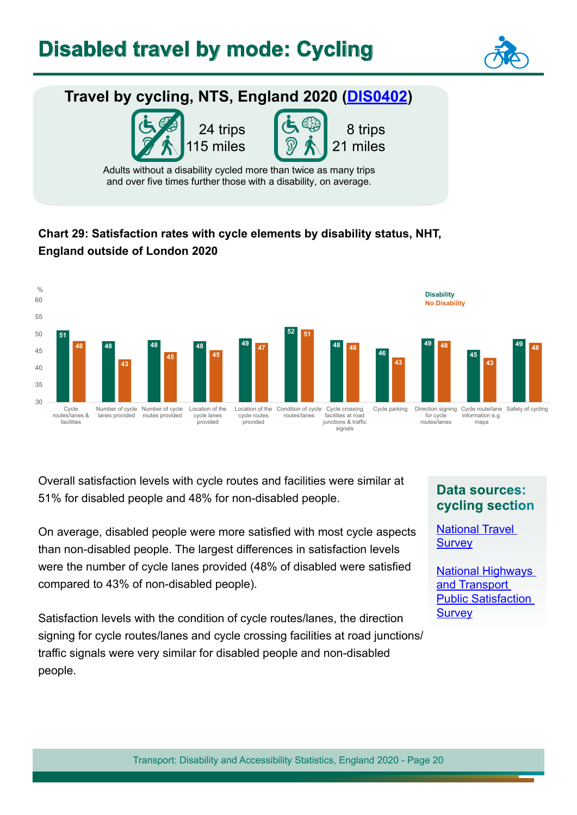

## <span id="page-19-0"></span>**Travel by cycling, NTS, England 2020 [\(DIS0402\)](https://www.gov.uk/government/statistical-data-sets/transport-disability-and-accessibility-statistics)**



8 trips 21 miles

Adults without a disability cycled more than twice as many trips and over five times further those with a disability, on average.

## **Chart 29: Satisfaction rates with cycle elements by disability status, NHT, England outside of London 2020**



Overall satisfaction levels with cycle routes and facilities were similar at 51% for disabled people and 48% for non-disabled people.

On average, disabled people were more satisfed with most cycle aspects than non-disabled people. The largest diferences in satisfaction levels were the number of cycle lanes provided (48% of disabled were satisfed compared to 43% of non-disabled people).

Satisfaction levels with the condition of cycle routes/lanes, the direction signing for cycle routes/lanes and cycle crossing facilities at road junctions/ traffic signals were very similar for disabled people and non-disabled people.

## **Data sources: cycling section**

[National Travel](https://www.gov.uk/government/collections/national-travel-survey-statistics)  **[Survey](https://www.gov.uk/government/collections/national-travel-survey-statistics)** 

[National Highways](https://nhtnetwork.org/)  [and Transport](https://nhtnetwork.org/)  [Public Satisfaction](https://nhtnetwork.org/)  **[Survey](https://nhtnetwork.org/)**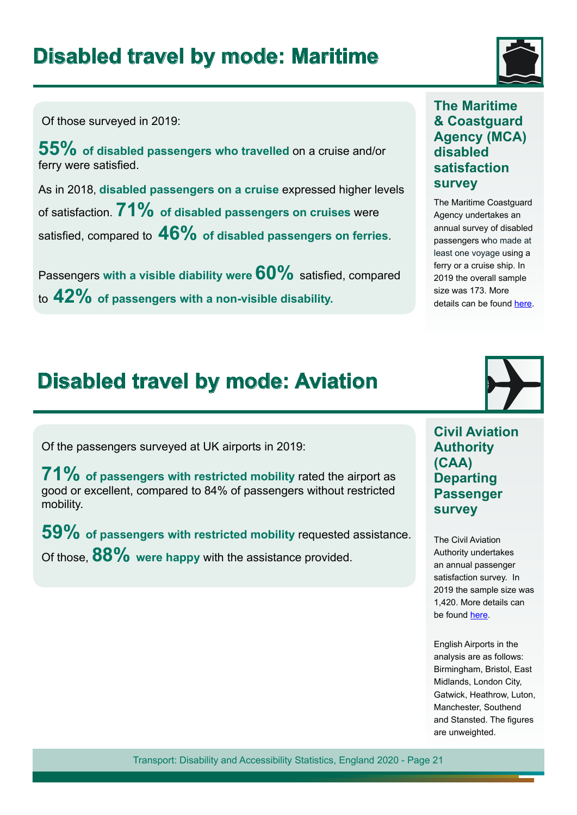## <span id="page-20-0"></span>**Disabled travel by mode: Maritime**



Of those surveyed in 2019:

**55% of disabled passengers who travelled** on a cruise and/or ferry were satisfed.

As in 2018, **disabled passengers on a cruise** expressed higher levels of satisfaction. **71% of disabled passengers on cruises** were satisfed, compared to **46% of disabled passengers on ferries**.

Passengers **with a visible diability were 60%** satisfed, compared to **42% of passengers with a non-visible disability.** 

### **The Maritime & Coastguard Agency (MCA) disabled satisfaction survey**

The Maritime Coastguard Agency undertakes an annual survey of disabled passengers who made at least one voyage using a ferry or a cruise ship. In 2019 the overall sample size was 173. More details can be found [here.](https://www.gov.uk/transport/maritime-passenger-rights#research_and_statistics)

## **Disabled travel by mode: Aviation**

Of the passengers surveyed at UK airports in 2019:

**71% of passengers with restricted mobility** rated the airport as good or excellent, compared to 84% of passengers without restricted mobility.

**59% of passengers with restricted mobility** requested assistance. Of those, **88%** were happy with the assistance provided.



**Civil Aviation Authority (CAA) Departing Passenger survey**

The Civil Aviation Authority undertakes an annual passenger satisfaction survey. In 2019 the sample size was 1,420. More details can be found [here.](https://www.caa.co.uk/home/)

English Airports in the analysis are as follows: Birmingham, Bristol, East Midlands, London City, Gatwick, Heathrow, Luton, Manchester, Southend and Stansted. The figures are unweighted.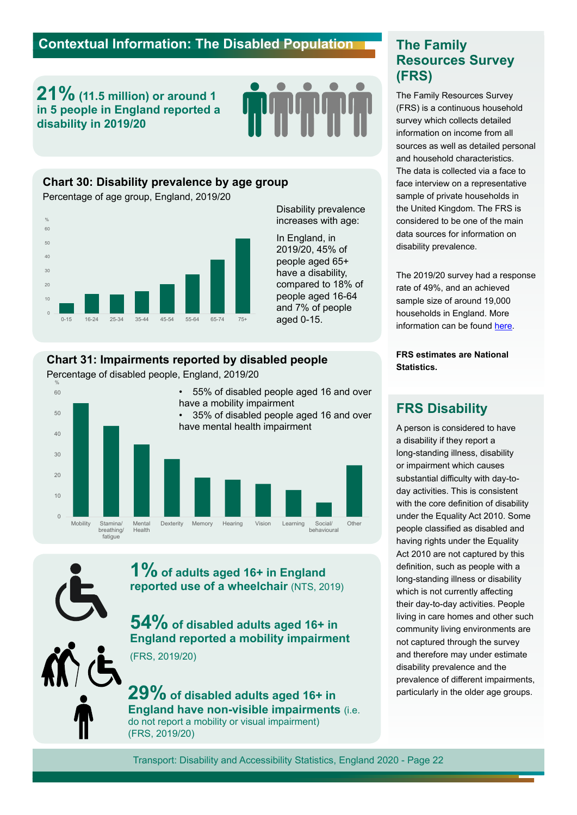## <span id="page-21-0"></span>**Contextual Information: The Disabled Population <b>The Family**

**21% (11.5 million) or around 1 in 5 people in England reported a disability in 2019/20**



#### **Chart 30: Disability prevalence by age group**

Percentage of age group, England, 2019/20



Disability prevalence increases with age:

In England, in 2019/20, 45% of people aged 65+ have a disability, compared to 18% of people aged 16-64 and 7% of people aged 0-15.

#### **Chart 31: Impairments reported by disabled people**

Percentage of disabled people, England, 2019/20



**1% of adults aged 16+ in England reported use of a wheelchair** (NTS, 2019)

**54% of disabled adults aged 16+ in England reported a mobility impairment**  (FRS, 2019/20)

**29% of disabled adults aged 16+ in England have non-visible impairments** (i.e. do not report a mobility or visual impairment) (FRS, 2019/20)

## **Resources Survey (FRS)**

The Family Resources Survey (FRS) is a continuous household survey which collects detailed information on income from all sources as well as detailed personal and household characteristics. The data is collected via a face to face interview on a representative sample of private households in the United Kingdom. The FRS is considered to be one of the main data sources for information on disability prevalence.

The 2019/20 survey had a response rate of 49%, and an achieved sample size of around 19,000 households in England. More information can be found [here.](https://www.gov.uk/government/collections/family-resources-survey--2)

**FRS estimates are National Statistics.**

### **FRS Disability**

A person is considered to have a disability if they report a long-standing illness, disability or impairment which causes substantial difficulty with day-today activities. This is consistent with the core definition of disability under the Equality Act 2010. Some people classifed as disabled and having rights under the Equality Act 2010 are not captured by this definition, such as people with a long-standing illness or disability which is not currently affecting their day-to-day activities. People living in care homes and other such community living environments are not captured through the survey and therefore may under estimate disability prevalence and the prevalence of diferent impairments, particularly in the older age groups.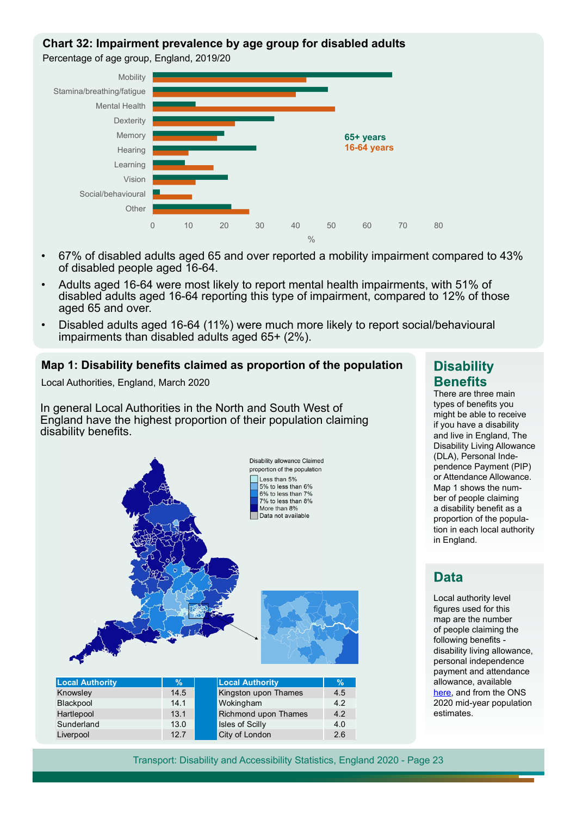#### <span id="page-22-0"></span>**Chart 32: Impairment prevalence by age group for disabled adults**

Percentage of age group, England, 2019/20



- 67% of disabled adults aged 65 and over reported a mobility impairment compared to 43% of disabled people aged 16-64.
- Adults aged 16-64 were most likely to report mental health impairments, with 51% of disabled adults aged 16-64 reporting this type of impairment, compared to 12% of those aged 65 and over.
- Disabled adults aged 16-64 (11%) were much more likely to report social/behavioural impairments than disabled adults aged 65+ (2%).

#### **Map 1: Disability benefts claimed as proportion of the population**

Local Authorities, England, March 2020

In general Local Authorities in the North and South West of England have the highest proportion of their population claiming disability benefits.



Liverpool 2.7 City of London

### **Disability Benefits**

There are three main types of benefits you might be able to receive if you have a disability and live in England, The Disability Living Allowance (DLA), Personal Independence Payment (PIP) or Attendance Allowance. Map 1 shows the number of people claiming a disability benefit as a proportion of the population in each local authority in England.

### **Data**

Local authority level figures used for this map are the number of people claiming the following benefits disability living allowance, personal independence payment and attendance allowance, available [here,](https://www.gov.uk/government/collections/dwp-statistical-summaries) and from the ONS 2020 mid-year population estimates.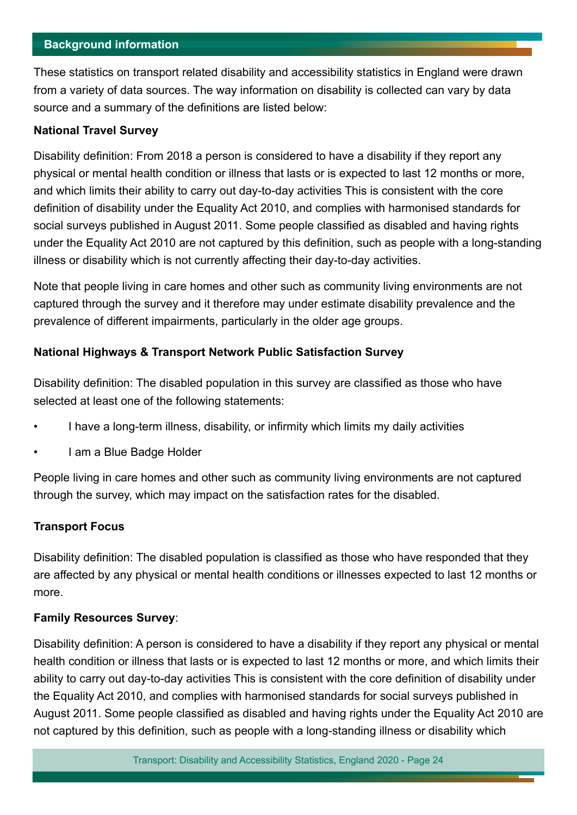#### <span id="page-23-0"></span>**Background information**

These statistics on transport related disability and accessibility statistics in England were drawn from a variety of data sources. The way information on disability is collected can vary by data source and a summary of the definitions are listed below:

#### **National Travel Survey**

Disability defnition: From 2018 a person is considered to have a disability if they report any physical or mental health condition or illness that lasts or is expected to last 12 months or more, and which limits their ability to carry out day-to-day activities This is consistent with the core defnition of disability under the Equality Act 2010, and complies with harmonised standards for social surveys published in August 2011. Some people classifed as disabled and having rights under the Equality Act 2010 are not captured by this defnition, such as people with a long-standing illness or disability which is not currently affecting their day-to-day activities.

Note that people living in care homes and other such as community living environments are not captured through the survey and it therefore may under estimate disability prevalence and the prevalence of diferent impairments, particularly in the older age groups.

#### **National Highways & Transport Network Public Satisfaction Survey**

Disability defnition: The disabled population in this survey are classifed as those who have selected at least one of the following statements:

- I have a long-term illness, disability, or infrmity which limits my daily activities
- I am a Blue Badge Holder

People living in care homes and other such as community living environments are not captured through the survey, which may impact on the satisfaction rates for the disabled.

#### **Transport Focus**

Disability defnition: The disabled population is classifed as those who have responded that they are afected by any physical or mental health conditions or illnesses expected to last 12 months or more.

#### **Family Resources Survey**:

Disability defnition: A person is considered to have a disability if they report any physical or mental health condition or illness that lasts or is expected to last 12 months or more, and which limits their ability to carry out day-to-day activities This is consistent with the core defnition of disability under the Equality Act 2010, and complies with harmonised standards for social surveys published in August 2011. Some people classifed as disabled and having rights under the Equality Act 2010 are not captured by this defnition, such as people with a long-standing illness or disability which